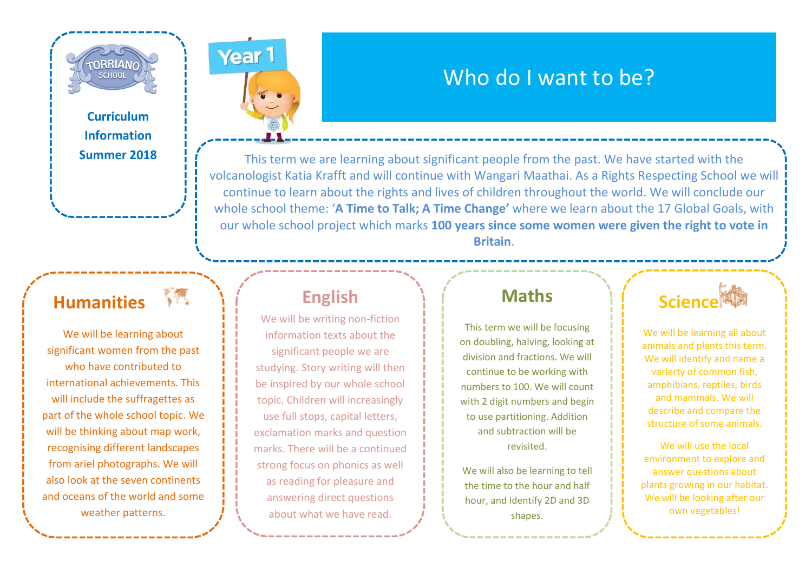**Curriculum Information Summer 2018**

**TORRIAN SCHOOL** 

#### **Humanities**

We will be learning about significant women from the past who have contributed to international achievements. This will include the suffragettes as part of the whole school topic. We will be thinking about map work, recognising different landscapes from ariel photographs. We will also look at the seven continents and oceans of the world and some weather patterns.

#### **English**

Year<sub>1</sub>

We will be writing non-fiction information texts about the significant people we are studying. Story writing will then be inspired by our whole school topic. Children will increasingly use full stops, capital letters, exclamation marks and question marks. There will be a continued strong focus on phonics as well as reading for pleasure and answering direct questions about what we have read.

### **Maths**

Who do I want to be?

This term we are learning about significant people from the past. We have started with the volcanologist Katia Krafft and will continue with Wangari Maathai. As a Rights Respecting School we will continue to learn about the rights and lives of children throughout the world. We will conclude our whole school theme: '**A Time to Talk; A Time Change'** where we learn about the 17 Global Goals, with our whole school project which marks **100 years since some women were given the right to vote in Britain**.

> This term we will be focusing on doubling, halving, looking at division and fractions. We will continue to be working with numbers to 100. We will count with 2 digit numbers and begin to use partitioning. Addition and subtraction will be revisited.

We will also be learning to tell the time to the hour and half hour, and identify 2D and 3D shapes.



We will be learning all about animals and plants this term. We will identify and name a varierty of common fish, amphibians, reptiles, birds and mammals. We will describe and compare the structure of some animals.

We will use the local environment to explore and answer questions about plants growing in our habitat. We will be looking after our own vegetables!